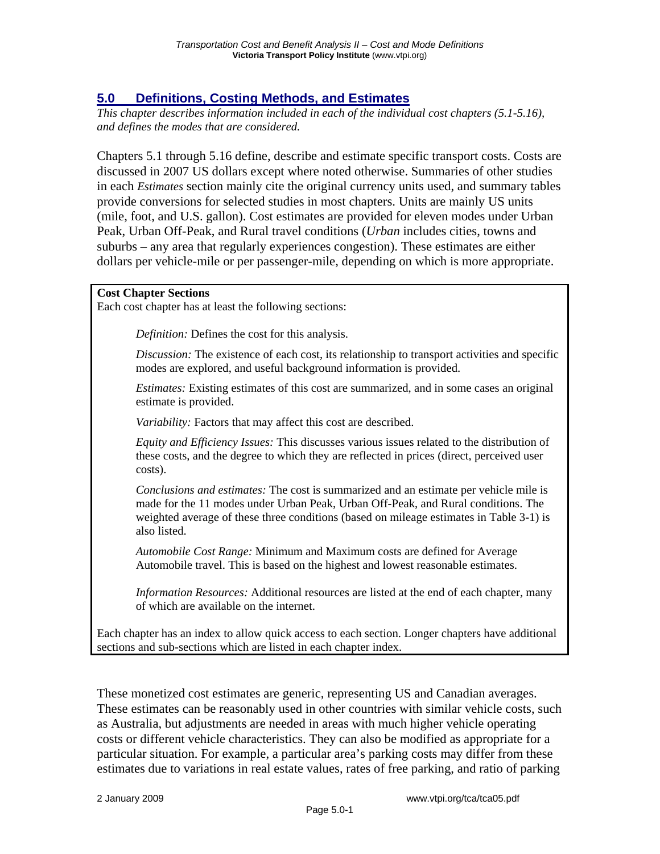## **5.0 Definitions, Costing Methods, and Estimates**

*This chapter describes information included in each of the individual cost chapters (5.1-5.16), and defines the modes that are considered.* 

Chapters 5.1 through 5.16 define, describe and estimate specific transport costs. Costs are discussed in 2007 US dollars except where noted otherwise. Summaries of other studies in each *Estimates* section mainly cite the original currency units used, and summary tables provide conversions for selected studies in most chapters. Units are mainly US units (mile, foot, and U.S. gallon). Cost estimates are provided for eleven modes under Urban Peak, Urban Off-Peak, and Rural travel conditions (*Urban* includes cities, towns and suburbs – any area that regularly experiences congestion). These estimates are either dollars per vehicle-mile or per passenger-mile, depending on which is more appropriate.

## **Cost Chapter Sections**

Each cost chapter has at least the following sections:

*Definition:* Defines the cost for this analysis.

*Discussion:* The existence of each cost, its relationship to transport activities and specific modes are explored, and useful background information is provided.

*Estimates:* Existing estimates of this cost are summarized, and in some cases an original estimate is provided.

*Variability:* Factors that may affect this cost are described.

*Equity and Efficiency Issues:* This discusses various issues related to the distribution of these costs, and the degree to which they are reflected in prices (direct, perceived user costs).

*Conclusions and estimates:* The cost is summarized and an estimate per vehicle mile is made for the 11 modes under Urban Peak, Urban Off-Peak, and Rural conditions. The weighted average of these three conditions (based on mileage estimates in Table 3-1) is also listed.

*Automobile Cost Range:* Minimum and Maximum costs are defined for Average Automobile travel. This is based on the highest and lowest reasonable estimates.

*Information Resources:* Additional resources are listed at the end of each chapter, many of which are available on the internet.

Each chapter has an index to allow quick access to each section. Longer chapters have additional sections and sub-sections which are listed in each chapter index.

These monetized cost estimates are generic, representing US and Canadian averages. These estimates can be reasonably used in other countries with similar vehicle costs, such as Australia, but adjustments are needed in areas with much higher vehicle operating costs or different vehicle characteristics. They can also be modified as appropriate for a particular situation. For example, a particular area's parking costs may differ from these estimates due to variations in real estate values, rates of free parking, and ratio of parking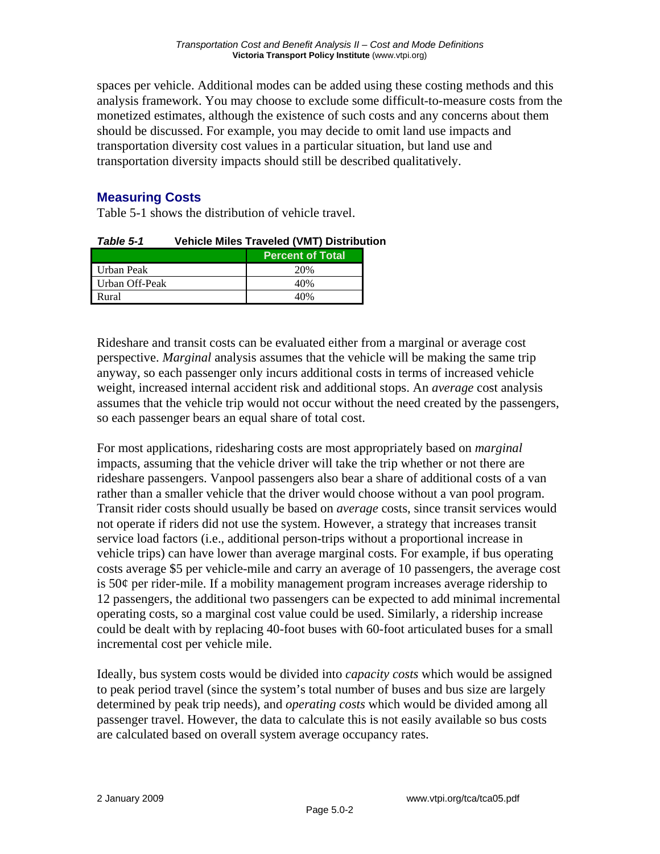spaces per vehicle. Additional modes can be added using these costing methods and this analysis framework. You may choose to exclude some difficult-to-measure costs from the monetized estimates, although the existence of such costs and any concerns about them should be discussed. For example, you may decide to omit land use impacts and transportation diversity cost values in a particular situation, but land use and transportation diversity impacts should still be described qualitatively.

## **Measuring Costs**

Table 5-1 shows the distribution of vehicle travel.

| ו -ט סושום ו   | <b>VEINCIE MINES TRAVEIEU (VIVIT) DISCRIDUCI</b> |     |  |
|----------------|--------------------------------------------------|-----|--|
|                | <b>Percent of Total</b>                          |     |  |
| Urban Peak     |                                                  | 20% |  |
| Urban Off-Peak |                                                  | 40% |  |
| Rural          |                                                  | 40% |  |

*Table 5-1* **Vehicle Miles Traveled (VMT) Distribution** 

Rideshare and transit costs can be evaluated either from a marginal or average cost perspective. *Marginal* analysis assumes that the vehicle will be making the same trip anyway, so each passenger only incurs additional costs in terms of increased vehicle weight, increased internal accident risk and additional stops. An *average* cost analysis assumes that the vehicle trip would not occur without the need created by the passengers, so each passenger bears an equal share of total cost.

For most applications, ridesharing costs are most appropriately based on *marginal* impacts, assuming that the vehicle driver will take the trip whether or not there are rideshare passengers. Vanpool passengers also bear a share of additional costs of a van rather than a smaller vehicle that the driver would choose without a van pool program. Transit rider costs should usually be based on *average* costs, since transit services would not operate if riders did not use the system. However, a strategy that increases transit service load factors (i.e., additional person-trips without a proportional increase in vehicle trips) can have lower than average marginal costs. For example, if bus operating costs average \$5 per vehicle-mile and carry an average of 10 passengers, the average cost is 50¢ per rider-mile. If a mobility management program increases average ridership to 12 passengers, the additional two passengers can be expected to add minimal incremental operating costs, so a marginal cost value could be used. Similarly, a ridership increase could be dealt with by replacing 40-foot buses with 60-foot articulated buses for a small incremental cost per vehicle mile.

Ideally, bus system costs would be divided into *capacity costs* which would be assigned to peak period travel (since the system's total number of buses and bus size are largely determined by peak trip needs), and *operating costs* which would be divided among all passenger travel. However, the data to calculate this is not easily available so bus costs are calculated based on overall system average occupancy rates.